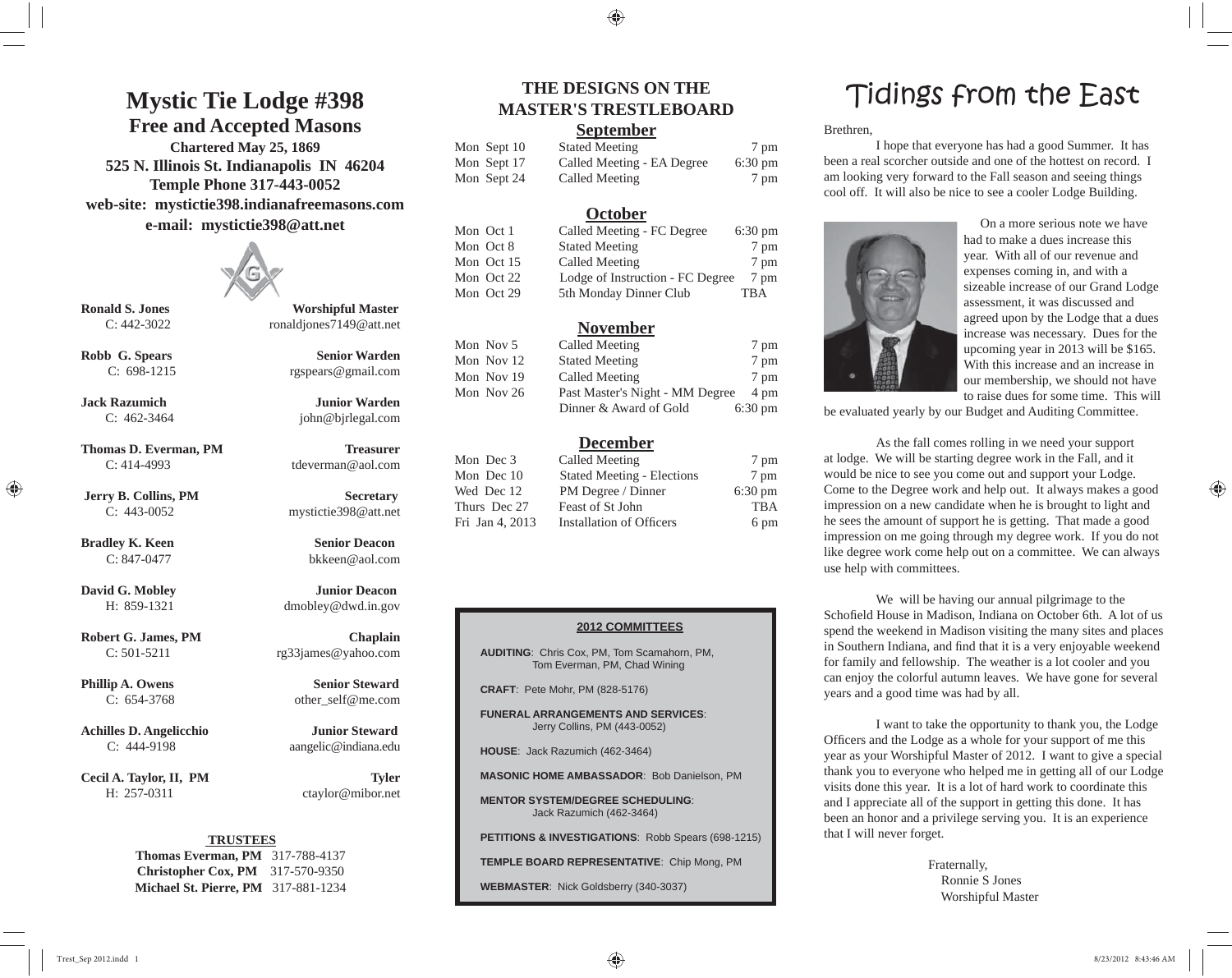### **Mystic Tie Lodge #398**

### **Free and Accepted Masons**

**Chartered May 25, 1869 525 N. Illinois St. Indianapolis IN 46204 Temple Phone 317-443-0052 web-site: mystictie398.indianafreemasons.com e-mail: mystictie398@att.net**



**Ronald S. Jones Worshipful Master**  C: 442-3022 ronaldjones7149@att.net

**Robb G. Spears Senior Warden** C: 698-1215 rgspears@gmail.com

**Jack Razumich Junior Warden** C: 462-3464 john@bjrlegal.com

**Thomas D. Everman, PM Treasurer** C: 414-4993 tdeverman@aol.com

**Jerry B. Collins, PM Secretary** C: 443-0052 mystictie398@att.net

⊕

**Bradley K. Keen Senior Deacon** C: 847-0477 bkkeen@aol.com

**David G. Mobley Junior Deacon** H: 859-1321 dmobley@dwd.in.gov

**Robert G. James, PM Chaplain**  $C: 501-5211$  rg33james@yahoo.com

**Phillip A. Owens** Senior Steward C: 654-3768 other\_self@me.com

**Achilles D. Angelicchio Junior Steward** C: 444-9198 aangelic@indiana.edu

Cecil A. Taylor, II, PM Tyler H: 257-0311 ctaylor@mibor.net

### **TRUSTEES**

**Thomas Everman, PM** 317-788-4137 **Christopher Cox, PM** 317-570-9350 **Michael St. Pierre, PM** 317-881-1234

♠

#### **September**

| Aon Sept 10 |
|-------------|
| 10n Sept 17 |
| 10n Sept 24 |

| Mon Sept 10 | <b>Stated Meeting</b>      | 7 pm              |
|-------------|----------------------------|-------------------|
| Mon Sept 17 | Called Meeting - EA Degree | $6:30 \text{ pm}$ |
| Mon Sept 24 | Called Meeting             | 7 pm              |

#### **October**

| Mon Oct 1  | Called Meeting - FC Degree       | $6:30 \text{ pm}$ |
|------------|----------------------------------|-------------------|
| Mon Oct 8  | <b>Stated Meeting</b>            | 7 pm              |
| Mon Oct 15 | Called Meeting                   | 7 pm              |
| Mon Oct 22 | Lodge of Instruction - FC Degree | 7 pm              |
| Mon Oct 29 | 5th Monday Dinner Club           | TBA               |

### **November**

| Mon Nov 5  | Called Meeting                  | 7 pm              |
|------------|---------------------------------|-------------------|
| Mon Nov 12 | <b>Stated Meeting</b>           | 7 pm              |
| Mon Nov 19 | Called Meeting                  | 7 pm              |
| Mon Nov 26 | Past Master's Night - MM Degree | 4 pm              |
|            | Dinner & Award of Gold          | $6:30 \text{ pm}$ |

### **December**

| Mon Dec 3       | Called Meeting                    | 7 pm              |
|-----------------|-----------------------------------|-------------------|
| Mon Dec 10      | <b>Stated Meeting - Elections</b> | 7 pm              |
| Wed Dec 12      | PM Degree / Dinner                | $6:30 \text{ pm}$ |
| Thurs Dec 27    | Feast of St John                  | <b>TBA</b>        |
| Fri Jan 4, 2013 | <b>Installation of Officers</b>   | 6 pm              |

#### **2012 COMMITTEES**

**AUDITING**: Chris Cox, PM, Tom Scamahorn, PM, Tom Everman, PM, Chad Wining

**CRAFT**: Pete Mohr, PM (828-5176)

**FUNERAL ARRANGEMENTS AND SERVICES**: Jerry Collins, PM (443-0052)

**HOUSE**: Jack Razumich (462-3464)

**MASONIC HOME AMBASSADOR**: Bob Danielson, PM

**MENTOR SYSTEM/DEGREE SCHEDULING**: Jack Razumich (462-3464)

**PETITIONS & INVESTIGATIONS**: Robb Spears (698-1215)

**TEMPLE BOARD REPRESENTATIVE**: Chip Mong, PM

**WEBMASTER**: Nick Goldsberry (340-3037)

### THE DESIGNS ON THE **Tidings** from the East

Brethren,

 I hope that everyone has had a good Summer. It has been a real scorcher outside and one of the hottest on record. I am looking very forward to the Fall season and seeing things cool off. It will also be nice to see a cooler Lodge Building.



 On a more serious note we have had to make a dues increase this year. With all of our revenue and expenses coming in, and with a sizeable increase of our Grand Lodge assessment, it was discussed and agreed upon by the Lodge that a dues increase was necessary. Dues for the upcoming year in 2013 will be \$165. With this increase and an increase in our membership, we should not have to raise dues for some time. This will

be evaluated yearly by our Budget and Auditing Committee.

 As the fall comes rolling in we need your support at lodge. We will be starting degree work in the Fall, and it would be nice to see you come out and support your Lodge. Come to the Degree work and help out. It always makes a good impression on a new candidate when he is brought to light and he sees the amount of support he is getting. That made a good impression on me going through my degree work. If you do not like degree work come help out on a committee. We can always use help with committees.

 We will be having our annual pilgrimage to the Schofield House in Madison, Indiana on October 6th. A lot of us spend the weekend in Madison visiting the many sites and places in Southern Indiana, and find that it is a very enjoyable weekend for family and fellowship. The weather is a lot cooler and you can enjoy the colorful autumn leaves. We have gone for several years and a good time was had by all.

 I want to take the opportunity to thank you, the Lodge Officers and the Lodge as a whole for your support of me this year as your Worshipful Master of 2012. I want to give a special thank you to everyone who helped me in getting all of our Lodge visits done this year. It is a lot of hard work to coordinate this and I appreciate all of the support in getting this done. It has been an honor and a privilege serving you. It is an experience that I will never forget.

> Fraternally, Ronnie S JonesWorshipful Master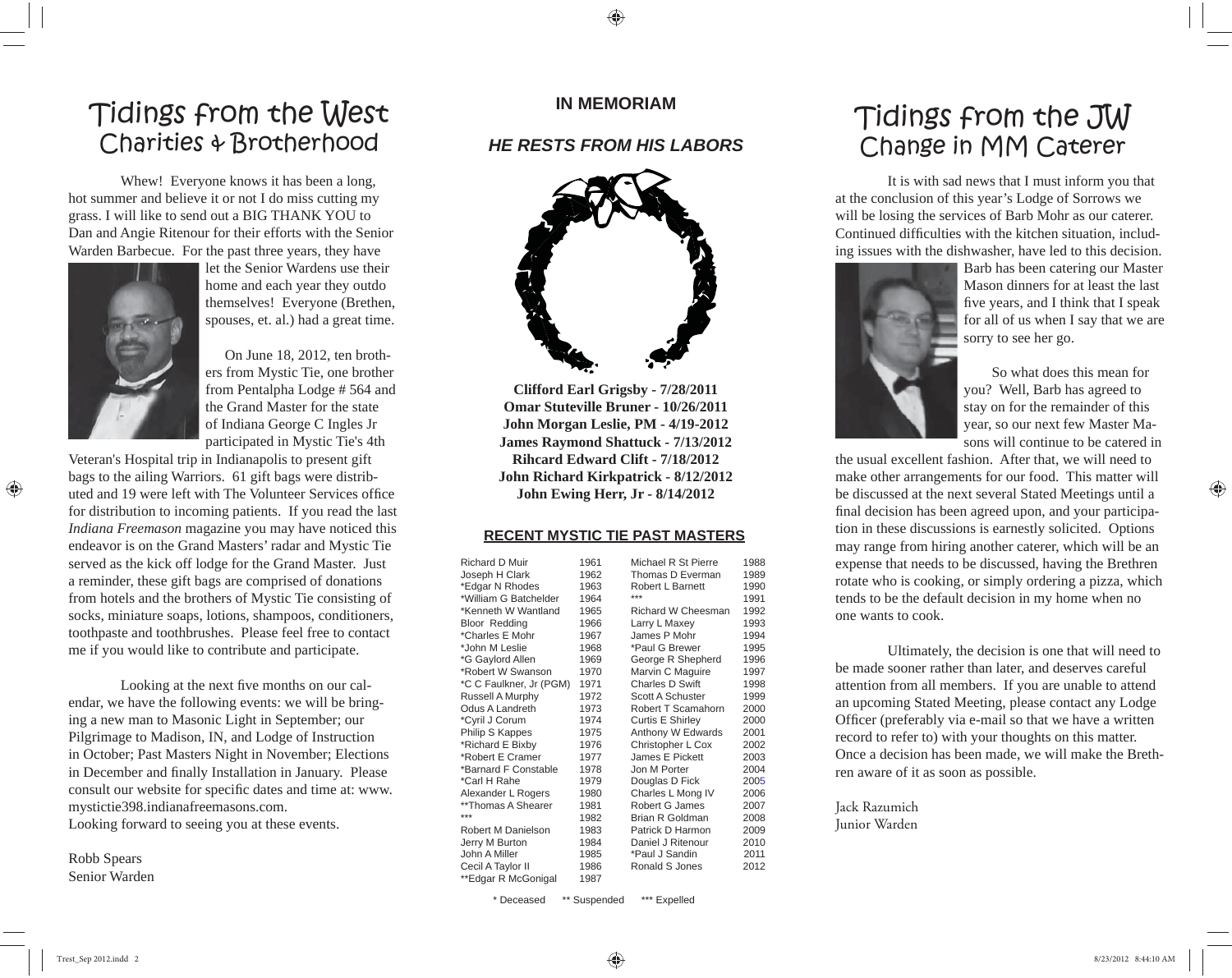### Tidings from the West Charities & Brotherhood

 Whew! Everyone knows it has been a long, hot summer and believe it or not I do miss cutting my grass. I will like to send out a BIG THANK YOU to Dan and Angie Ritenour for their efforts with the Senior Warden Barbecue. For the past three years, they have



⊕

let the Senior Wardens use their home and each year they outdo themselves! Everyone (Brethen, spouses, et. al.) had a great time.

 On June 18, 2012, ten brothers from Mystic Tie, one brother from Pentalpha Lodge # 564 and the Grand Master for the state of Indiana George C Ingles Jr participated in Mystic Tie's 4th

Veteran's Hospital trip in Indianapolis to present gift bags to the ailing Warriors. 61 gift bags were distributed and 19 were left with The Volunteer Services office for distribution to incoming patients. If you read the last *Indiana Freemason* magazine you may have noticed this endeavor is on the Grand Masters' radar and Mystic Tie served as the kick off lodge for the Grand Master. Just a reminder, these gift bags are comprised of donations from hotels and the brothers of Mystic Tie consisting of socks, miniature soaps, lotions, shampoos, conditioners, toothpaste and toothbrushes. Please feel free to contact me if you would like to contribute and participate.

Looking at the next five months on our calendar, we have the following events: we will be bringing a new man to Masonic Light in September; our Pilgrimage to Madison, IN, and Lodge of Instruction in October; Past Masters Night in November; Elections in December and finally Installation in January. Please consult our website for specific dates and time at: www. mystictie398.indianafreemasons.com. Looking forward to seeing you at these events.

Robb Spears Senior Warden

### **IN MEMORIAM**

### *HE RESTS FROM HIS LABORS*



**Clifford Earl Grigsby - 7/28/2011 Omar Stuteville Bruner - 10/26/2011John Morgan Leslie, PM - 4/19-2012 James Raymond Shattuck - 7/13/2012 Rihcard Edward Clift - 7/18/2012John Richard Kirkpatrick - 8/12/2012 John Ewing Herr, Jr - 8/14/2012**

#### **RECENT MYSTIC TIE PAST MASTERS**

| Richard D Muir          | 1961 | Michael R St Pierre     | 1988 |
|-------------------------|------|-------------------------|------|
| Joseph H Clark          | 1962 | Thomas D Everman        | 1989 |
| *Edgar N Rhodes         | 1963 | Robert L Barnett        | 1990 |
| *William G Batchelder   | 1964 | ***                     | 1991 |
| *Kenneth W Wantland     | 1965 | Richard W Cheesman      | 1992 |
| <b>Bloor Redding</b>    | 1966 | Larry L Maxey           | 1993 |
| *Charles E Mohr         | 1967 | James P Mohr            | 1994 |
| *John M Leslie          | 1968 | *Paul G Brewer          | 1995 |
| *G Gaylord Allen        | 1969 | George R Shepherd       | 1996 |
| *Robert W Swanson       | 1970 | Marvin C Maguire        | 1997 |
| *C C Faulkner, Jr (PGM) | 1971 | Charles D Swift         | 1998 |
| Russell A Murphy        | 1972 | Scott A Schuster        | 1999 |
| Odus A Landreth         | 1973 | Robert T Scamahorn      | 2000 |
| *Cyril J Corum          | 1974 | <b>Curtis E Shirley</b> | 2000 |
| Philip S Kappes         | 1975 | Anthony W Edwards       | 2001 |
| *Richard E Bixby        | 1976 | Christopher L Cox       | 2002 |
| *Robert E Cramer        | 1977 | James E Pickett         | 2003 |
| *Barnard F Constable    | 1978 | Jon M Porter            | 2004 |
| *Carl H Rahe            | 1979 | Douglas D Fick          | 2005 |
| Alexander L Rogers      | 1980 | Charles L Mong IV       | 2006 |
| **Thomas A Shearer      | 1981 | Robert G James          | 2007 |
| ***                     | 1982 | Brian R Goldman         | 2008 |
| Robert M Danielson      | 1983 | Patrick D Harmon        | 2009 |
| Jerry M Burton          | 1984 | Daniel J Ritenour       | 2010 |
| John A Miller           | 1985 | *Paul J Sandin          | 2011 |
| Cecil A Taylor II       | 1986 | Ronald S Jones          | 2012 |
| **Edgar R McGonigal     | 1987 |                         |      |
|                         |      |                         |      |

Tidings from the JW Change in MM Caterer

 It is with sad news that I must inform you that at the conclusion of this year's Lodge of Sorrows we will be losing the services of Barb Mohr as our caterer. Continued difficulties with the kitchen situation, including issues with the dishwasher, have led to this decision.



Barb has been catering our Master Mason dinners for at least the last five years, and I think that I speak for all of us when I say that we are sorry to see her go.

 So what does this mean for you? Well, Barb has agreed to stay on for the remainder of this year, so our next few Master Masons will continue to be catered in

the usual excellent fashion. After that, we will need to make other arrangements for our food. This matter will be discussed at the next several Stated Meetings until a final decision has been agreed upon, and your participation in these discussions is earnestly solicited. Options may range from hiring another caterer, which will be an expense that needs to be discussed, having the Brethren rotate who is cooking, or simply ordering a pizza, which tends to be the default decision in my home when no one wants to cook.

 Ultimately, the decision is one that will need to be made sooner rather than later, and deserves careful attention from all members. If you are unable to attend an upcoming Stated Meeting, please contact any Lodge Officer (preferably via e-mail so that we have a written record to refer to) with your thoughts on this matter. Once a decision has been made, we will make the Brethren aware of it as soon as possible.

Jack Razumich Junior Warden

\* Deceased \*\* Suspended \*\*\* Expelled

Trest\_Sep 2012.indd 2  $8/23/2012$  8:44:10 AM  $8/23/2012$  8:44:10 AM  $\blacktriangleright$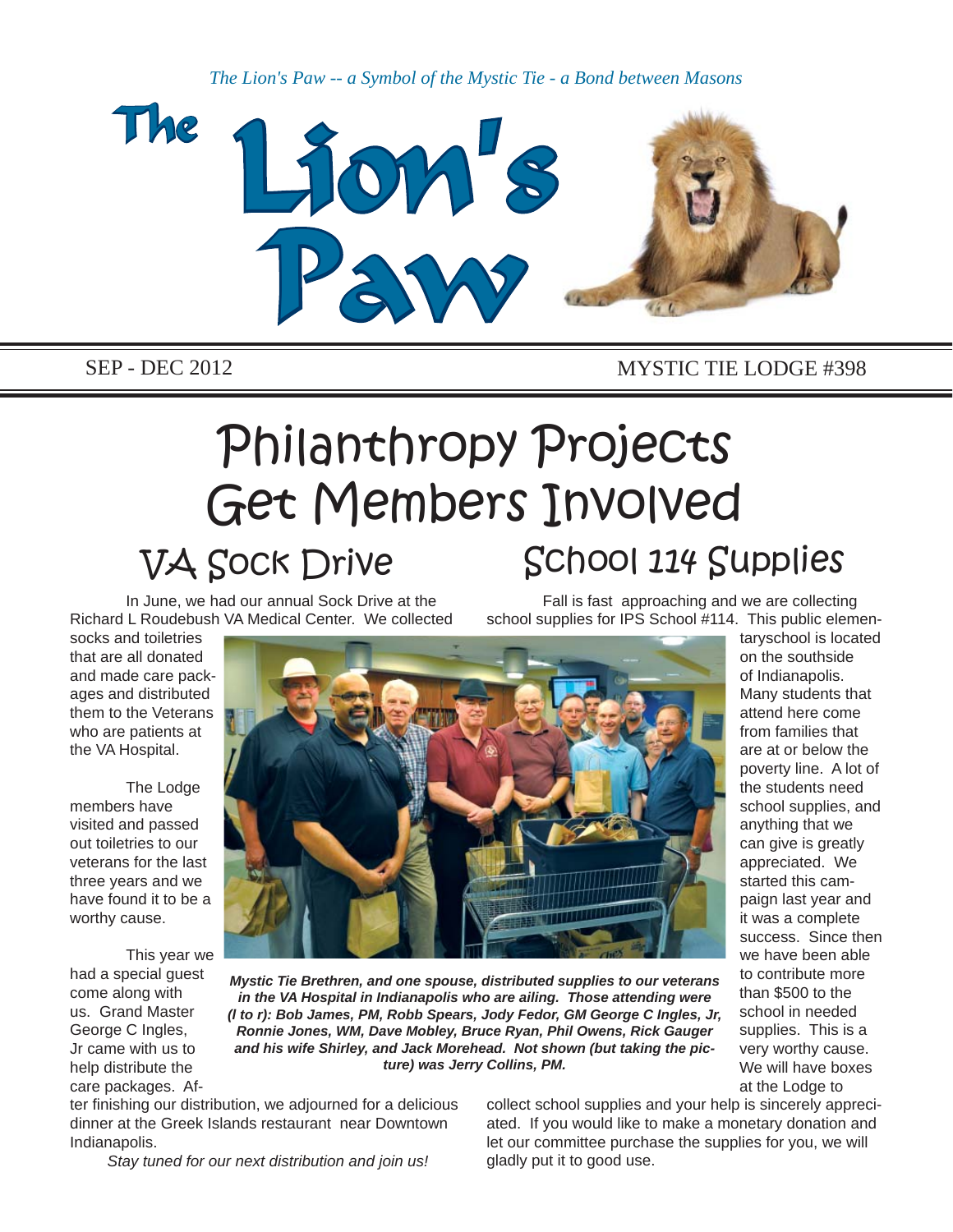*The Lion's Paw -- a Symbol of the Mystic Tie - a Bond between Masons*



### SEP - DEC 2012 MYSTIC TIE LODGE #398

# Philanthropy Projects Get Members Involved VA Sock Drive School 114 Supplies

 In June, we had our annual Sock Drive at the Richard L Roudebush VA Medical Center. We collected

 Fall is fast approaching and we are collecting school supplies for IPS School #114. This public elemen-

socks and toiletries that are all donated and made care packages and distributed them to the Veterans who are patients at the VA Hospital.

 The Lodge members have visited and passed out toiletries to our veterans for the last three years and we have found it to be a worthy cause.

 This year we had a special guest come along with us. Grand Master George C Ingles, Jr came with us to help distribute the care packages. Af-



*Mystic Tie Brethren, and one spouse, distributed supplies to our veterans in the VA Hospital in Indianapolis who are ailing. Those attending were (l to r): Bob James, PM, Robb Spears, Jody Fedor, GM George C Ingles, Jr, Ronnie Jones, WM, Dave Mobley, Bruce Ryan, Phil Owens, Rick Gauger and his wife Shirley, and Jack Morehead. Not shown (but taking the picture) was Jerry Collins, PM.*

ter finishing our distribution, we adjourned for a delicious dinner at the Greek Islands restaurant near Downtown Indianapolis.

collect school supplies and your help is sincerely appreciated. If you would like to make a monetary donation and let our committee purchase the supplies for you, we will gladly put it to good use.

Many students that attend here come from families that are at or below the poverty line. A lot of the students need school supplies, and anything that we can give is greatly appreciated. We started this campaign last year and it was a complete success. Since then we have been able to contribute more than \$500 to the school in needed supplies. This is a very worthy cause. We will have boxes at the Lodge to

taryschool is located on the southside of Indianapolis.

*Stay tuned for our next distribution and join us!*